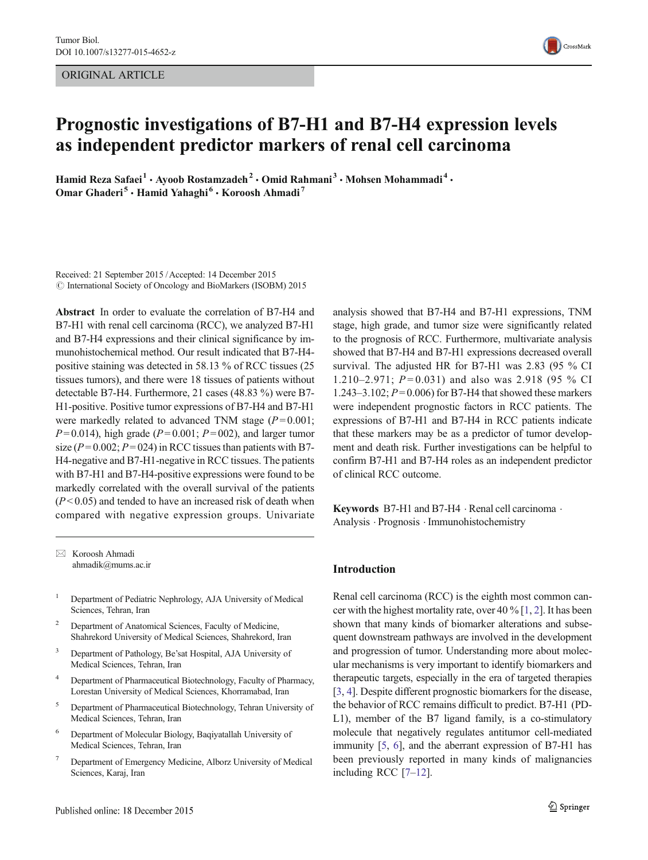ORIGINAL ARTICLE



# Prognostic investigations of B7-H1 and B7-H4 expression levels as independent predictor markers of renal cell carcinoma

Hamid Reza Safaei<sup>1</sup> · Ayoob Rostamzadeh<sup>2</sup> · Omid Rahmani<sup>3</sup> · Mohsen Mohammadi<sup>4</sup> · Omar Ghaderi<sup>5</sup> · Hamid Yahaghi<sup>6</sup> · Koroosh Ahmadi<sup>7</sup>

Received: 21 September 2015 /Accepted: 14 December 2015  $\odot$  International Society of Oncology and BioMarkers (ISOBM) 2015

Abstract In order to evaluate the correlation of B7-H4 and B7-H1 with renal cell carcinoma (RCC), we analyzed B7-H1 and B7-H4 expressions and their clinical significance by immunohistochemical method. Our result indicated that B7-H4 positive staining was detected in 58.13 % of RCC tissues (25 tissues tumors), and there were 18 tissues of patients without detectable B7-H4. Furthermore, 21 cases (48.83 %) were B7- H1-positive. Positive tumor expressions of B7-H4 and B7-H1 were markedly related to advanced TNM stage  $(P= 0.001;$  $P= 0.014$ ), high grade ( $P= 0.001$ ;  $P= 002$ ), and larger tumor size ( $P = 0.002$ ;  $P = 024$ ) in RCC tissues than patients with B7-H4-negative and B7-H1-negative in RCC tissues. The patients with B7-H1 and B7-H4-positive expressions were found to be markedly correlated with the overall survival of the patients  $(P<0.05)$  and tended to have an increased risk of death when compared with negative expression groups. Univariate

 $\boxtimes$  Koroosh Ahmadi ahmadik@mums.ac.ir

- <sup>1</sup> Department of Pediatric Nephrology, AJA University of Medical Sciences, Tehran, Iran
- Department of Anatomical Sciences, Faculty of Medicine, Shahrekord University of Medical Sciences, Shahrekord, Iran
- <sup>3</sup> Department of Pathology, Be'sat Hospital, AJA University of Medical Sciences, Tehran, Iran
- <sup>4</sup> Department of Pharmaceutical Biotechnology, Faculty of Pharmacy, Lorestan University of Medical Sciences, Khorramabad, Iran
- <sup>5</sup> Department of Pharmaceutical Biotechnology, Tehran University of Medical Sciences, Tehran, Iran
- <sup>6</sup> Department of Molecular Biology, Baqiyatallah University of Medical Sciences, Tehran, Iran
- <sup>7</sup> Department of Emergency Medicine, Alborz University of Medical Sciences, Karaj, Iran

analysis showed that B7-H4 and B7-H1 expressions, TNM stage, high grade, and tumor size were significantly related to the prognosis of RCC. Furthermore, multivariate analysis showed that B7-H4 and B7-H1 expressions decreased overall survival. The adjusted HR for B7-H1 was 2.83 (95 % CI 1.210–2.971;  $P = 0.031$ ) and also was 2.918 (95 % CI 1.243–3.102;  $P = 0.006$  for B7-H4 that showed these markers were independent prognostic factors in RCC patients. The expressions of B7-H1 and B7-H4 in RCC patients indicate that these markers may be as a predictor of tumor development and death risk. Further investigations can be helpful to confirm B7-H1 and B7-H4 roles as an independent predictor of clinical RCC outcome.

Keywords B7-H1 and B7-H4  $\cdot$  Renal cell carcinoma  $\cdot$ Analysis . Prognosis . Immunohistochemistry

## Introduction

Renal cell carcinoma (RCC) is the eighth most common cancer with the highest mortality rate, over 40 % [[1,](#page-4-0) [2\]](#page-4-0). It has been shown that many kinds of biomarker alterations and subsequent downstream pathways are involved in the development and progression of tumor. Understanding more about molecular mechanisms is very important to identify biomarkers and therapeutic targets, especially in the era of targeted therapies [\[3](#page-4-0), [4\]](#page-4-0). Despite different prognostic biomarkers for the disease, the behavior of RCC remains difficult to predict. B7-H1 (PD-L1), member of the B7 ligand family, is a co-stimulatory molecule that negatively regulates antitumor cell-mediated immunity [[5,](#page-4-0) [6\]](#page-4-0), and the aberrant expression of B7-H1 has been previously reported in many kinds of malignancies including RCC [\[7](#page-4-0)–[12](#page-4-0)].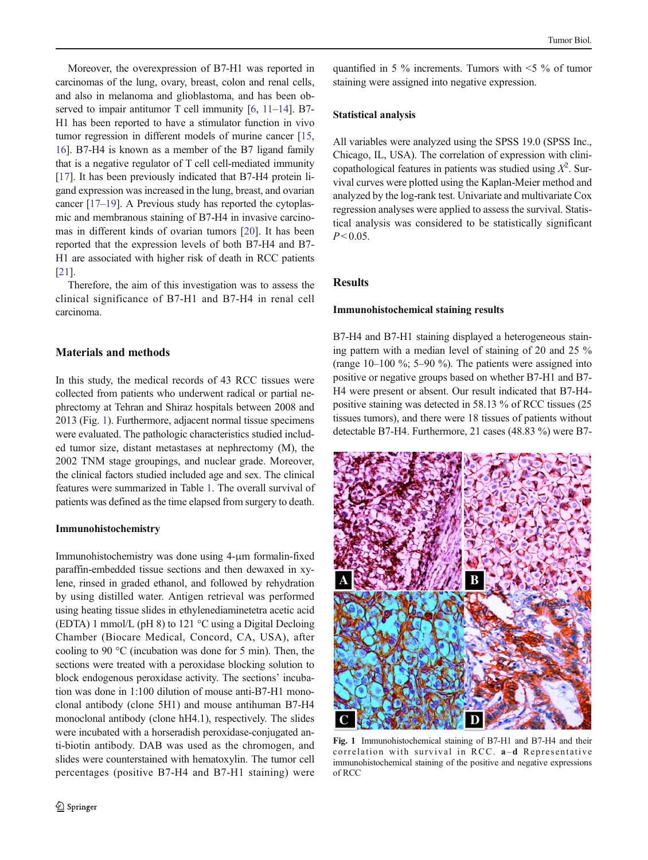Moreover, the overexpression of B7-H1 was reported in carcinomas of the lung, ovary, breast, colon and renal cells, and also in melanoma and glioblastoma, and has been ob-served to impair antitumor T cell immunity [[6](#page-4-0), [11](#page-4-0)–[14](#page-4-0)]. B7-H1 has been reported to have a stimulator function in vivo tumor regression in different models of murine cancer [[15,](#page-4-0) [16\]](#page-4-0). B7-H4 is known as a member of the B7 ligand family that is a negative regulator of T cell cell-mediated immunity [\[17\]](#page-4-0). It has been previously indicated that B7-H4 protein ligand expression was increased in the lung, breast, and ovarian cancer [\[17](#page-4-0)–[19\]](#page-4-0). A Previous study has reported the cytoplasmic and membranous staining of B7-H4 in invasive carcinomas in different kinds of ovarian tumors [\[20](#page-4-0)]. It has been reported that the expression levels of both B7-H4 and B7- H1 are associated with higher risk of death in RCC patients [\[21\]](#page-4-0).

Therefore, the aim of this investigation was to assess the clinical significance of B7-H1 and B7-H4 in renal cell carcinoma.

## Materials and methods

In this study, the medical records of 43 RCC tissues were collected from patients who underwent radical or partial nephrectomy at Tehran and Shiraz hospitals between 2008 and 2013 (Fig. 1). Furthermore, adjacent normal tissue specimens were evaluated. The pathologic characteristics studied included tumor size, distant metastases at nephrectomy (M), the 2002 TNM stage groupings, and nuclear grade. Moreover, the clinical factors studied included age and sex. The clinical features were summarized in Table [1.](#page-2-0) The overall survival of patients was defined as the time elapsed from surgery to death.

### Immunohistochemistry

Immunohistochemistry was done using 4-μm formalin-fixed paraffin-embedded tissue sections and then dewaxed in xylene, rinsed in graded ethanol, and followed by rehydration by using distilled water. Antigen retrieval was performed using heating tissue slides in ethylenediaminetetra acetic acid (EDTA) 1 mmol/L (pH 8) to 121 °C using a Digital Decloing Chamber (Biocare Medical, Concord, CA, USA), after cooling to 90 °C (incubation was done for 5 min). Then, the sections were treated with a peroxidase blocking solution to block endogenous peroxidase activity. The sections' incubation was done in 1:100 dilution of mouse anti-B7-H1 monoclonal antibody (clone 5H1) and mouse antihuman B7-H4 monoclonal antibody (clone hH4.1), respectively. The slides were incubated with a horseradish peroxidase-conjugated anti-biotin antibody. DAB was used as the chromogen, and slides were counterstained with hematoxylin. The tumor cell percentages (positive B7-H4 and B7-H1 staining) were quantified in 5  $\%$  increments. Tumors with  $\leq$  5  $\%$  of tumor staining were assigned into negative expression.

## Statistical analysis

All variables were analyzed using the SPSS 19.0 (SPSS Inc., Chicago, IL, USA). The correlation of expression with clinicopathological features in patients was studied using  $X^2$ . Survival curves were plotted using the Kaplan-Meier method and analyzed by the log-rank test. Univariate and multivariate Cox regression analyses were applied to assess the survival. Statistical analysis was considered to be statistically significant  $P < 0.05$ .

# Results

### Immunohistochemical staining results

B7-H4 and B7-H1 staining displayed a heterogeneous staining pattern with a median level of staining of 20 and 25 % (range 10–100 %; 5–90 %). The patients were assigned into positive or negative groups based on whether B7-H1 and B7- H4 were present or absent. Our result indicated that B7-H4 positive staining was detected in 58.13 % of RCC tissues (25 tissues tumors), and there were 18 tissues of patients without detectable B7-H4. Furthermore, 21 cases (48.83 %) were B7-



Fig. 1 Immunohistochemical staining of B7-H1 and B7-H4 and their correlation with survival in RCC. a–d Representative immunohistochemical staining of the positive and negative expressions of RCC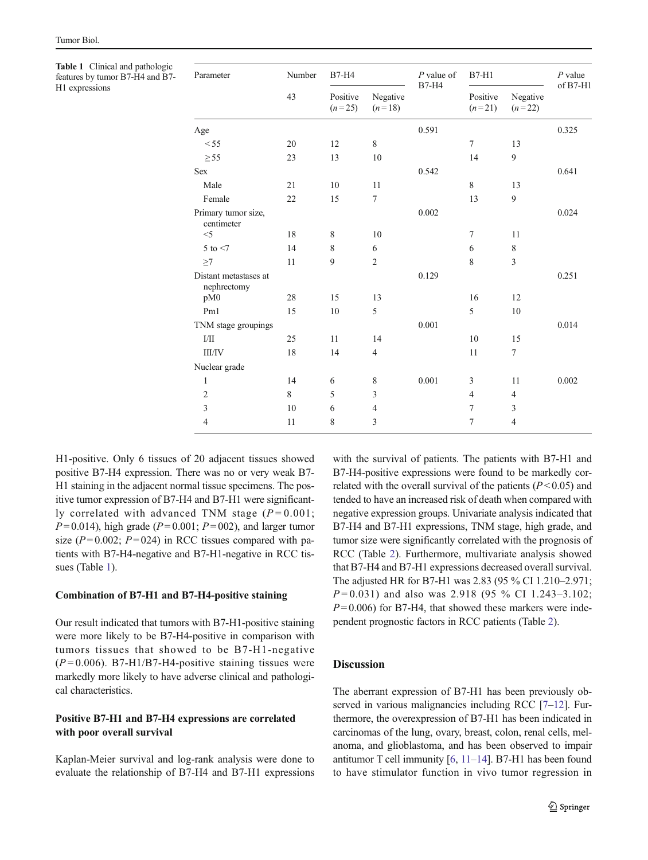<span id="page-2-0"></span>Table 1 Clinical and pathologic features by tumor B7-H4 and B7- H1 expressions

| Parameter                            | Number<br>43 | <b>B7-H4</b>         |                      | $P$ value of<br><b>B7-H4</b> | $B7-H1$              |                      | $P$ value<br>$of B7-H1$ |
|--------------------------------------|--------------|----------------------|----------------------|------------------------------|----------------------|----------------------|-------------------------|
|                                      |              | Positive<br>$(n=25)$ | Negative<br>$(n=18)$ |                              | Positive<br>$(n=21)$ | Negative<br>$(n=22)$ |                         |
| Age                                  |              |                      |                      | 0.591                        |                      |                      | 0.325                   |
| < 55                                 | 20           | 12                   | 8                    |                              | $\overline{7}$       | 13                   |                         |
| $\geq$ 55                            | 23           | 13                   | 10                   |                              | 14                   | 9                    |                         |
| <b>Sex</b>                           |              |                      |                      | 0.542                        |                      |                      | 0.641                   |
| Male                                 | 21           | 10                   | 11                   |                              | 8                    | 13                   |                         |
| Female                               | 22           | 15                   | 7                    |                              | 13                   | 9                    |                         |
| Primary tumor size,<br>centimeter    |              |                      |                      | 0.002                        |                      |                      | 0.024                   |
| $<$ 5                                | 18           | 8                    | 10                   |                              | $\tau$               | 11                   |                         |
| $5$ to $<$ 7                         | 14           | 8                    | 6                    |                              | 6                    | 8                    |                         |
| $\geq$ 7                             | 11           | 9                    | $\overline{2}$       |                              | 8                    | 3                    |                         |
| Distant metastases at<br>nephrectomy |              |                      |                      | 0.129                        |                      |                      | 0.251                   |
| pM0                                  | 28           | 15                   | 13                   |                              | 16                   | 12                   |                         |
| Pm1                                  | 15           | 10                   | 5                    |                              | 5                    | 10                   |                         |
| TNM stage groupings                  |              |                      |                      | 0.001                        |                      |                      | 0.014                   |
| ${\rm I/II}$                         | 25           | 11                   | 14                   |                              | 10                   | 15                   |                         |
| <b>III/IV</b>                        | 18           | 14                   | $\overline{4}$       |                              | 11                   | $\tau$               |                         |
| Nuclear grade                        |              |                      |                      |                              |                      |                      |                         |
| $\mathbf{1}$                         | 14           | 6                    | 8                    | 0.001                        | 3                    | 11                   | 0.002                   |
| $\overline{c}$                       | 8            | 5                    | 3                    |                              | $\overline{4}$       | $\overline{4}$       |                         |
| 3                                    | 10           | 6                    | $\overline{4}$       |                              | $\tau$               | 3                    |                         |
| $\overline{4}$                       | 11           | 8                    | 3                    |                              | 7                    | $\overline{4}$       |                         |

H1-positive. Only 6 tissues of 20 adjacent tissues showed positive B7-H4 expression. There was no or very weak B7- H1 staining in the adjacent normal tissue specimens. The positive tumor expression of B7-H4 and B7-H1 were significantly correlated with advanced TNM stage  $(P=0.001)$ ;  $P= 0.014$ ), high grade ( $P= 0.001$ ;  $P= 002$ ), and larger tumor size ( $P = 0.002$ ;  $P = 024$ ) in RCC tissues compared with patients with B7-H4-negative and B7-H1-negative in RCC tissues (Table 1).

### Combination of B7-H1 and B7-H4-positive staining

Our result indicated that tumors with B7-H1-positive staining were more likely to be B7-H4-positive in comparison with tumors tissues that showed to be B7-H1-negative  $(P=0.006)$ . B7-H1/B7-H4-positive staining tissues were markedly more likely to have adverse clinical and pathological characteristics.

# Positive B7-H1 and B7-H4 expressions are correlated with poor overall survival

Kaplan-Meier survival and log-rank analysis were done to evaluate the relationship of B7-H4 and B7-H1 expressions with the survival of patients. The patients with B7-H1 and B7-H4-positive expressions were found to be markedly correlated with the overall survival of the patients  $(P< 0.05)$  and tended to have an increased risk of death when compared with negative expression groups. Univariate analysis indicated that B7-H4 and B7-H1 expressions, TNM stage, high grade, and tumor size were significantly correlated with the prognosis of RCC (Table [2](#page-3-0)). Furthermore, multivariate analysis showed that B7-H4 and B7-H1 expressions decreased overall survival. The adjusted HR for B7-H1 was 2.83 (95 % CI 1.210–2.971;  $P = 0.031$ ) and also was 2.918 (95 % CI 1.243–3.102;  $P = 0.006$ ) for B7-H4, that showed these markers were independent prognostic factors in RCC patients (Table [2\)](#page-3-0).

## Discussion

The aberrant expression of B7-H1 has been previously ob-served in various malignancies including RCC [\[7](#page-4-0)–[12\]](#page-4-0). Furthermore, the overexpression of B7-H1 has been indicated in carcinomas of the lung, ovary, breast, colon, renal cells, melanoma, and glioblastoma, and has been observed to impair antitumor T cell immunity [[6,](#page-4-0) [11](#page-4-0)–[14\]](#page-4-0). B7-H1 has been found to have stimulator function in vivo tumor regression in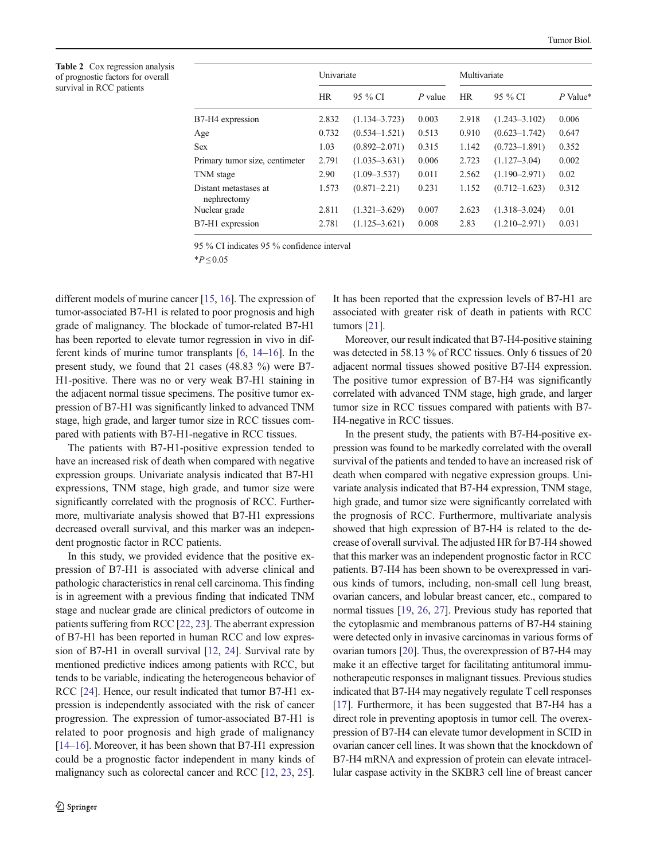<span id="page-3-0"></span>Table 2 Cox regression analysis of prognostic factors for overall survival in RCC patients

|                                      |           | Univariate        |           |           | Multivariate      |            |  |
|--------------------------------------|-----------|-------------------|-----------|-----------|-------------------|------------|--|
|                                      | <b>HR</b> | 95 % CI           | $P$ value | <b>HR</b> | 95 % CI           | $P$ Value* |  |
| B7-H4 expression                     | 2.832     | $(1.134 - 3.723)$ | 0.003     | 2.918     | $(1.243 - 3.102)$ | 0.006      |  |
| Age                                  | 0.732     | $(0.534 - 1.521)$ | 0.513     | 0.910     | $(0.623 - 1.742)$ | 0.647      |  |
| <b>Sex</b>                           | 1.03      | $(0.892 - 2.071)$ | 0.315     | 1.142     | $(0.723 - 1.891)$ | 0.352      |  |
| Primary tumor size, centimeter       | 2.791     | $(1.035 - 3.631)$ | 0.006     | 2.723     | $(1.127 - 3.04)$  | 0.002      |  |
| TNM stage                            | 2.90      | $(1.09 - 3.537)$  | 0.011     | 2.562     | $(1.190 - 2.971)$ | 0.02       |  |
| Distant metastases at<br>nephrectomy | 1.573     | $(0.871 - 2.21)$  | 0.231     | 1.152     | $(0.712 - 1.623)$ | 0.312      |  |
| Nuclear grade                        | 2.811     | $(1.321 - 3.629)$ | 0.007     | 2.623     | $(1.318 - 3.024)$ | 0.01       |  |
| B7-H1 expression                     | 2.781     | $(1.125 - 3.621)$ | 0.008     | 2.83      | $(1.210 - 2.971)$ | 0.031      |  |
|                                      |           |                   |           |           |                   |            |  |

95 % CI indicates 95 % confidence interval

 $*P < 0.05$ 

different models of murine cancer [\[15](#page-4-0), [16\]](#page-4-0). The expression of tumor-associated B7-H1 is related to poor prognosis and high grade of malignancy. The blockade of tumor-related B7-H1 has been reported to elevate tumor regression in vivo in different kinds of murine tumor transplants [[6](#page-4-0), [14](#page-4-0)–[16](#page-4-0)]. In the present study, we found that 21 cases (48.83 %) were B7- H1-positive. There was no or very weak B7-H1 staining in the adjacent normal tissue specimens. The positive tumor expression of B7-H1 was significantly linked to advanced TNM stage, high grade, and larger tumor size in RCC tissues compared with patients with B7-H1-negative in RCC tissues.

The patients with B7-H1-positive expression tended to have an increased risk of death when compared with negative expression groups. Univariate analysis indicated that B7-H1 expressions, TNM stage, high grade, and tumor size were significantly correlated with the prognosis of RCC. Furthermore, multivariate analysis showed that B7-H1 expressions decreased overall survival, and this marker was an independent prognostic factor in RCC patients.

In this study, we provided evidence that the positive expression of B7-H1 is associated with adverse clinical and pathologic characteristics in renal cell carcinoma. This finding is in agreement with a previous finding that indicated TNM stage and nuclear grade are clinical predictors of outcome in patients suffering from RCC [\[22](#page-4-0), [23](#page-4-0)]. The aberrant expression of B7-H1 has been reported in human RCC and low expres-sion of B7-H1 in overall survival [[12,](#page-4-0) [24](#page-4-0)]. Survival rate by mentioned predictive indices among patients with RCC, but tends to be variable, indicating the heterogeneous behavior of RCC [[24\]](#page-4-0). Hence, our result indicated that tumor B7-H1 expression is independently associated with the risk of cancer progression. The expression of tumor-associated B7-H1 is related to poor prognosis and high grade of malignancy [\[14](#page-4-0)–[16\]](#page-4-0). Moreover, it has been shown that B7-H1 expression could be a prognostic factor independent in many kinds of malignancy such as colorectal cancer and RCC [\[12,](#page-4-0) [23](#page-4-0), [25\]](#page-4-0).

It has been reported that the expression levels of B7-H1 are associated with greater risk of death in patients with RCC tumors [[21\]](#page-4-0).

Moreover, our result indicated that B7-H4-positive staining was detected in 58.13 % of RCC tissues. Only 6 tissues of 20 adjacent normal tissues showed positive B7-H4 expression. The positive tumor expression of B7-H4 was significantly correlated with advanced TNM stage, high grade, and larger tumor size in RCC tissues compared with patients with B7- H4-negative in RCC tissues.

In the present study, the patients with B7-H4-positive expression was found to be markedly correlated with the overall survival of the patients and tended to have an increased risk of death when compared with negative expression groups. Univariate analysis indicated that B7-H4 expression, TNM stage, high grade, and tumor size were significantly correlated with the prognosis of RCC. Furthermore, multivariate analysis showed that high expression of B7-H4 is related to the decrease of overall survival. The adjusted HR for B7-H4 showed that this marker was an independent prognostic factor in RCC patients. B7-H4 has been shown to be overexpressed in various kinds of tumors, including, non-small cell lung breast, ovarian cancers, and lobular breast cancer, etc., compared to normal tissues [[19](#page-4-0), [26,](#page-4-0) [27\]](#page-4-0). Previous study has reported that the cytoplasmic and membranous patterns of B7-H4 staining were detected only in invasive carcinomas in various forms of ovarian tumors [\[20\]](#page-4-0). Thus, the overexpression of B7-H4 may make it an effective target for facilitating antitumoral immunotherapeutic responses in malignant tissues. Previous studies indicated that B7-H4 may negatively regulate T cell responses [\[17](#page-4-0)]. Furthermore, it has been suggested that B7-H4 has a direct role in preventing apoptosis in tumor cell. The overexpression of B7-H4 can elevate tumor development in SCID in ovarian cancer cell lines. It was shown that the knockdown of B7-H4 mRNA and expression of protein can elevate intracellular caspase activity in the SKBR3 cell line of breast cancer